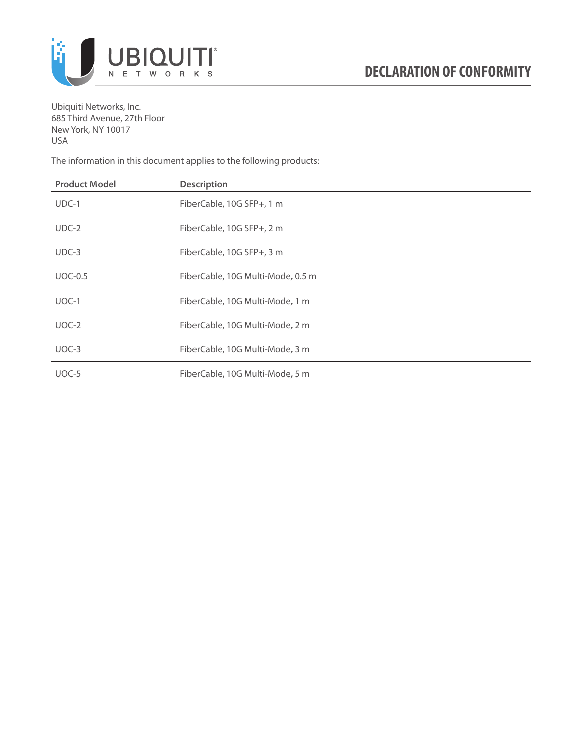

Ubiquiti Networks, Inc. 685 Third Avenue, 27th Floor New York, NY 10017 USA

The information in this document applies to the following products:

| <b>Product Model</b> | <b>Description</b>                |
|----------------------|-----------------------------------|
| $UDC-1$              | FiberCable, 10G SFP+, 1 m         |
| $UDC-2$              | FiberCable, 10G SFP+, 2 m         |
| $UDC-3$              | FiberCable, 10G SFP+, 3 m         |
| $UOC-0.5$            | FiberCable, 10G Multi-Mode, 0.5 m |
| $UOC-1$              | FiberCable, 10G Multi-Mode, 1 m   |
| $UOC-2$              | FiberCable, 10G Multi-Mode, 2 m   |
| $UOC-3$              | FiberCable, 10G Multi-Mode, 3 m   |
| UOC-5                | FiberCable, 10G Multi-Mode, 5 m   |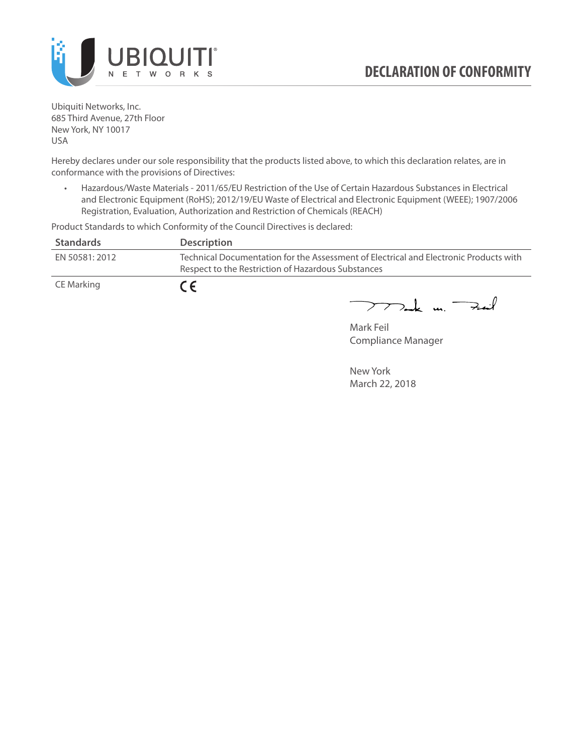

Ubiquiti Networks, Inc. 685 Third Avenue, 27th Floor New York, NY 10017 USA

Hereby declares under our sole responsibility that the products listed above, to which this declaration relates, are in conformance with the provisions of Directives:

• Hazardous/Waste Materials - 2011/65/EU Restriction of the Use of Certain Hazardous Substances in Electrical and Electronic Equipment (RoHS); 2012/19/EU Waste of Electrical and Electronic Equipment (WEEE); 1907/2006 Registration, Evaluation, Authorization and Restriction of Chemicals (REACH)

Product Standards to which Conformity of the Council Directives is declared:

| <b>Standards</b> | <b>Description</b>                                                                                                                          |
|------------------|---------------------------------------------------------------------------------------------------------------------------------------------|
| EN 50581: 2012   | Technical Documentation for the Assessment of Electrical and Electronic Products with<br>Respect to the Restriction of Hazardous Substances |
| CE Marking       | $\epsilon$                                                                                                                                  |

 $\nabla$ ak un  $\rightarrow$  $\overline{\phantom{1}}$ 

Mark Feil Compliance Manager

New York March 22, 2018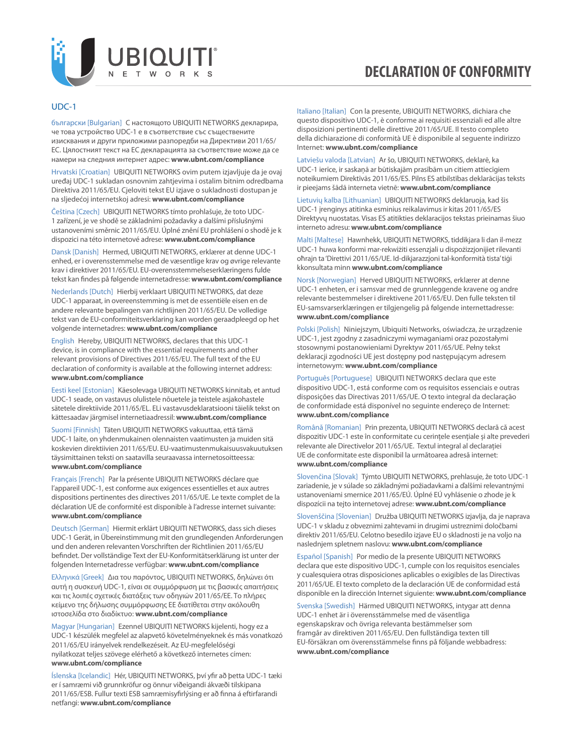

#### UDC-1

български [Bulgarian] С настоящото UBIQUITI NETWORKS декларира, че това устройство UDC-1 е в съответствие със съществените изисквания и други приложими разпоредби на Директиви 2011/65/ EC. Цялостният текст на ЕС декларацията за съответствие може да се намери на следния интернет адрес: **[www.ubnt.com/compliance](http://www.ubnt.com/compliance)**

Hrvatski [Croatian] UBIQUITI NETWORKS ovim putem izjavljuje da je ovaj uređaj UDC-1 sukladan osnovnim zahtjevima i ostalim bitnim odredbama Direktiva 2011/65/EU. Cjeloviti tekst EU izjave o sukladnosti dostupan je na sljedećoj internetskoj adresi: **[www.ubnt.com/compliance](http://www.ubnt.com/compliance)**

Čeština [Czech] UBIQUITI NETWORKS tímto prohlašuje, že toto UDC-1 zařízení, je ve shodě se základními požadavky a dalšími příslušnými ustanoveními směrnic 2011/65/EU. Úplné znění EU prohlášení o shodě je k dispozici na této internetové adrese: **[www.ubnt.com/compliance](http://www.ubnt.com/compliance)**

Dansk [Danish] Hermed, UBIQUITI NETWORKS, erklærer at denne UDC-1 enhed, er i overensstemmelse med de væsentlige krav og øvrige relevante krav i direktiver 2011/65/EU. EU-overensstemmelseserklæringens fulde tekst kan findes på følgende internetadresse: **[www.ubnt.com/compliance](http://www.ubnt.com/compliance)**

Nederlands [Dutch] Hierbij verklaart UBIQUITI NETWORKS, dat deze UDC-1 apparaat, in overeenstemming is met de essentiële eisen en de andere relevante bepalingen van richtlijnen 2011/65/EU. De volledige tekst van de EU-conformiteitsverklaring kan worden geraadpleegd op het volgende internetadres: **[www.ubnt.com/compliance](http://www.ubnt.com/compliance)**

English Hereby, UBIQUITI NETWORKS, declares that this UDC-1 device, is in compliance with the essential requirements and other relevant provisions of Directives 2011/65/EU. The full text of the EU declaration of conformity is available at the following internet address: **[www.ubnt.com/compliance](http://www.ubnt.com/compliance)**

Eesti keel [Estonian] Käesolevaga UBIQUITI NETWORKS kinnitab, et antud UDC-1 seade, on vastavus olulistele nõuetele ja teistele asjakohastele sätetele direktiivide 2011/65/EL. ELi vastavusdeklaratsiooni täielik tekst on kättesaadav järgmisel internetiaadressil: **[www.ubnt.com/compliance](http://www.ubnt.com/compliance)**

Suomi [Finnish] Täten UBIQUITI NETWORKS vakuuttaa, että tämä UDC-1 laite, on yhdenmukainen olennaisten vaatimusten ja muiden sitä koskevien direktiivien 2011/65/EU. EU-vaatimustenmukaisuusvakuutuksen täysimittainen teksti on saatavilla seuraavassa internetosoitteessa: **[www.ubnt.com/compliance](http://www.ubnt.com/compliance)**

Français [French] Par la présente UBIQUITI NETWORKS déclare que l'appareil UDC-1, est conforme aux exigences essentielles et aux autres dispositions pertinentes des directives 2011/65/UE. Le texte complet de la déclaration UE de conformité est disponible à l'adresse internet suivante: **[www.ubnt.com/compliance](http://www.ubnt.com/compliance)**

Deutsch [German] Hiermit erklärt UBIQUITI NETWORKS, dass sich dieses UDC-1 Gerät, in Übereinstimmung mit den grundlegenden Anforderungen und den anderen relevanten Vorschriften der Richtlinien 2011/65/EU befindet. Der vollständige Text der EU-Konformitätserklärung ist unter der folgenden Internetadresse verfügbar: **[www.ubnt.com/compliance](http://www.ubnt.com/compliance)**

Ελληνικά [Greek] Δια του παρόντος, UBIQUITI NETWORKS, δηλώνει ότι αυτή η συσκευή UDC-1, είναι σε συμμόρφωση με τις βασικές απαιτήσεις και τις λοιπές σχετικές διατάξεις των οδηγιών 2011/65/EE. Το πλήρες κείμενο της δήλωσης συμμόρφωσης ΕΕ διατίθεται στην ακόλουθη ιστοσελίδα στο διαδίκτυο: **[www.ubnt.com/compliance](http://www.ubnt.com/compliance)**

Magyar [Hungarian] Ezennel UBIQUITI NETWORKS kijelenti, hogy ez a UDC-1 készülék megfelel az alapvető követelményeknek és más vonatkozó 2011/65/EU irányelvek rendelkezéseit. Az EU-megfelelőségi nyilatkozat teljes szövege elérhető a következő internetes címen: **[www.ubnt.com/compliance](http://www.ubnt.com/compliance)**

Íslenska [Icelandic] Hér, UBIQUITI NETWORKS, því yfir að þetta UDC-1 tæki er í samræmi við grunnkröfur og önnur viðeigandi ákvæði tilskipana 2011/65/ESB. Fullur texti ESB samræmisyfirlýsing er að finna á eftirfarandi netfangi: **[www.ubnt.com/compliance](http://www.ubnt.com/compliance)**

Italiano [Italian] Con la presente, UBIQUITI NETWORKS, dichiara che questo dispositivo UDC-1, è conforme ai requisiti essenziali ed alle altre disposizioni pertinenti delle direttive 2011/65/UE. Il testo completo della dichiarazione di conformità UE è disponibile al seguente indirizzo Internet: **[www.ubnt.com/compliance](http://www.ubnt.com/compliance)**

Latviešu valoda [Latvian] Ar šo, UBIQUITI NETWORKS, deklarē, ka UDC-1 ierīce, ir saskaņā ar būtiskajām prasībām un citiem attiecīgiem noteikumiem Direktīvās 2011/65/ES. Pilns ES atbilstības deklarācijas teksts ir pieejams šādā interneta vietnē: **[www.ubnt.com/compliance](http://www.ubnt.com/compliance)**

Lietuvių kalba [Lithuanian] UBIQUITI NETWORKS deklaruoja, kad šis UDC-1 įrenginys atitinka esminius reikalavimus ir kitas 2011/65/ES Direktyvų nuostatas. Visas ES atitikties deklaracijos tekstas prieinamas šiuo interneto adresu: **[www.ubnt.com/compliance](http://www.ubnt.com/compliance)**

Malti [Maltese] Hawnhekk, UBIQUITI NETWORKS, tiddikjara li dan il-mezz UDC-1 huwa konformi mar-rekwiżiti essenzjali u dispożizzjonijiet rilevanti oħrajn ta 'Direttivi 2011/65/UE. Id-dikjarazzjoni tal-konformità tista' tiġi kkonsultata minn **[www.ubnt.com/compliance](http://www.ubnt.com/compliance)**

Norsk [Norwegian] Herved UBIQUITI NETWORKS, erklærer at denne UDC-1 enheten, er i samsvar med de grunnleggende kravene og andre relevante bestemmelser i direktivene 2011/65/EU. Den fulle teksten til EU-samsvarserklæringen er tilgjengelig på følgende internettadresse: **[www.ubnt.com/compliance](http://www.ubnt.com/compliance)**

Polski [Polish] Niniejszym, Ubiquiti Networks, oświadcza, że urządzenie UDC-1, jest zgodny z zasadniczymi wymaganiami oraz pozostałymi stosownymi postanowieniami Dyrektyw 2011/65/UE. Pełny tekst deklaracji zgodności UE jest dostępny pod następującym adresem internetowym: **[www.ubnt.com/compliance](http://www.ubnt.com/compliance)**

Português [Portuguese] UBIQUITI NETWORKS declara que este dispositivo UDC-1, está conforme com os requisitos essenciais e outras disposições das Directivas 2011/65/UE. O texto integral da declaração de conformidade está disponível no seguinte endereço de Internet: **[www.ubnt.com/compliance](http://www.ubnt.com/compliance)**

Română [Romanian] Prin prezenta, UBIQUITI NETWORKS declară că acest dispozitiv UDC-1 este în conformitate cu cerințele esențiale și alte prevederi relevante ale Directivelor 2011/65/UE. Textul integral al declarației UE de conformitate este disponibil la următoarea adresă internet: **[www.ubnt.com/compliance](http://www.ubnt.com/compliance)**

Slovenčina [Slovak] Týmto UBIQUITI NETWORKS, prehlasuje, že toto UDC-1 zariadenie, je v súlade so základnými požiadavkami a ďalšími relevantnými ustanoveniami smernice 2011/65/EÚ. Úplné EÚ vyhlásenie o zhode je k dispozícii na tejto internetovej adrese: **[www.ubnt.com/compliance](http://www.ubnt.com/compliance)**

Slovenščina [Slovenian] Družba UBIQUITI NETWORKS izjavlja, da je naprava UDC-1 v skladu z obveznimi zahtevami in drugimi ustreznimi določbami direktiv 2011/65/EU. Celotno besedilo izjave EU o skladnosti je na voljo na naslednjem spletnem naslovu: **[www.ubnt.com/compliance](http://www.ubnt.com/compliance)**

Español [Spanish] Por medio de la presente UBIQUITI NETWORKS declara que este dispositivo UDC-1, cumple con los requisitos esenciales y cualesquiera otras disposiciones aplicables o exigibles de las Directivas 2011/65/UE. El texto completo de la declaración UE de conformidad está disponible en la dirección Internet siguiente: **[www.ubnt.com/compliance](http://www.ubnt.com/compliance)**

Svenska [Swedish] Härmed UBIQUITI NETWORKS, intygar att denna UDC-1 enhet är i överensstämmelse med de väsentliga egenskapskrav och övriga relevanta bestämmelser som framgår av direktiven 2011/65/EU. Den fullständiga texten till EU-försäkran om överensstämmelse finns på följande webbadress: **[www.ubnt.com/compliance](http://www.ubnt.com/compliance)**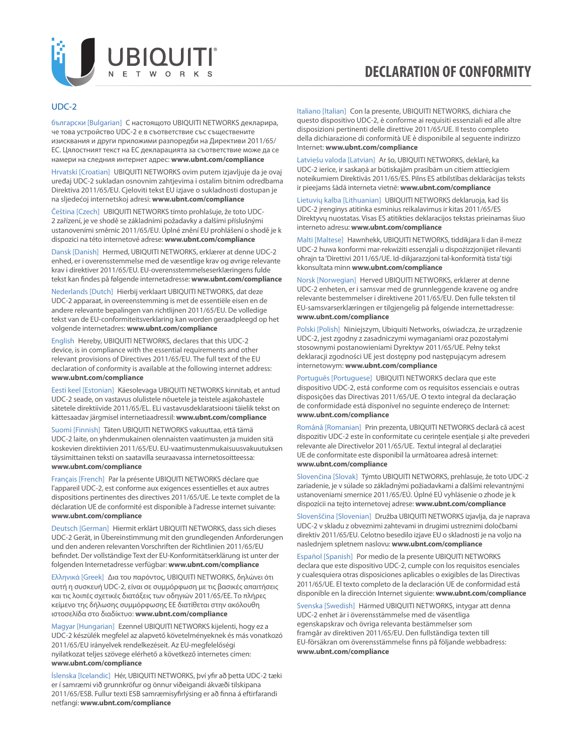

#### UDC-2

български [Bulgarian] С настоящото UBIQUITI NETWORKS декларира, че това устройство UDC-2 е в съответствие със съществените изисквания и други приложими разпоредби на Директиви 2011/65/ EC. Цялостният текст на ЕС декларацията за съответствие може да се намери на следния интернет адрес: **[www.ubnt.com/compliance](http://www.ubnt.com/compliance)**

Hrvatski [Croatian] UBIQUITI NETWORKS ovim putem izjavljuje da je ovaj uređaj UDC-2 sukladan osnovnim zahtjevima i ostalim bitnim odredbama Direktiva 2011/65/EU. Cjeloviti tekst EU izjave o sukladnosti dostupan je na sljedećoj internetskoj adresi: **[www.ubnt.com/compliance](http://www.ubnt.com/compliance)**

Čeština [Czech] UBIQUITI NETWORKS tímto prohlašuje, že toto UDC-2 zařízení, je ve shodě se základními požadavky a dalšími příslušnými ustanoveními směrnic 2011/65/EU. Úplné znění EU prohlášení o shodě je k dispozici na této internetové adrese: **[www.ubnt.com/compliance](http://www.ubnt.com/compliance)**

Dansk [Danish] Hermed, UBIQUITI NETWORKS, erklærer at denne UDC-2 enhed, er i overensstemmelse med de væsentlige krav og øvrige relevante krav i direktiver 2011/65/EU. EU-overensstemmelseserklæringens fulde tekst kan findes på følgende internetadresse: **[www.ubnt.com/compliance](http://www.ubnt.com/compliance)**

Nederlands [Dutch] Hierbij verklaart UBIQUITI NETWORKS, dat deze UDC-2 apparaat, in overeenstemming is met de essentiële eisen en de andere relevante bepalingen van richtlijnen 2011/65/EU. De volledige tekst van de EU-conformiteitsverklaring kan worden geraadpleegd op het volgende internetadres: **[www.ubnt.com/compliance](http://www.ubnt.com/compliance)**

English Hereby, UBIQUITI NETWORKS, declares that this UDC-2 device, is in compliance with the essential requirements and other relevant provisions of Directives 2011/65/EU. The full text of the EU declaration of conformity is available at the following internet address: **[www.ubnt.com/compliance](http://www.ubnt.com/compliance)**

Eesti keel [Estonian] Käesolevaga UBIQUITI NETWORKS kinnitab, et antud UDC-2 seade, on vastavus olulistele nõuetele ja teistele asjakohastele sätetele direktiivide 2011/65/EL. ELi vastavusdeklaratsiooni täielik tekst on kättesaadav järgmisel internetiaadressil: **[www.ubnt.com/compliance](http://www.ubnt.com/compliance)**

Suomi [Finnish] Täten UBIQUITI NETWORKS vakuuttaa, että tämä UDC-2 laite, on yhdenmukainen olennaisten vaatimusten ja muiden sitä koskevien direktiivien 2011/65/EU. EU-vaatimustenmukaisuusvakuutuksen täysimittainen teksti on saatavilla seuraavassa internetosoitteessa: **[www.ubnt.com/compliance](http://www.ubnt.com/compliance)**

Français [French] Par la présente UBIQUITI NETWORKS déclare que l'appareil UDC-2, est conforme aux exigences essentielles et aux autres dispositions pertinentes des directives 2011/65/UE. Le texte complet de la déclaration UE de conformité est disponible à l'adresse internet suivante: **[www.ubnt.com/compliance](http://www.ubnt.com/compliance)**

Deutsch [German] Hiermit erklärt UBIQUITI NETWORKS, dass sich dieses UDC-2 Gerät, in Übereinstimmung mit den grundlegenden Anforderungen und den anderen relevanten Vorschriften der Richtlinien 2011/65/EU befindet. Der vollständige Text der EU-Konformitätserklärung ist unter der folgenden Internetadresse verfügbar: **[www.ubnt.com/compliance](http://www.ubnt.com/compliance)**

Ελληνικά [Greek] Δια του παρόντος, UBIQUITI NETWORKS, δηλώνει ότι αυτή η συσκευή UDC-2, είναι σε συμμόρφωση με τις βασικές απαιτήσεις και τις λοιπές σχετικές διατάξεις των οδηγιών 2011/65/EE. Το πλήρες κείμενο της δήλωσης συμμόρφωσης ΕΕ διατίθεται στην ακόλουθη ιστοσελίδα στο διαδίκτυο: **[www.ubnt.com/compliance](http://www.ubnt.com/compliance)**

Magyar [Hungarian] Ezennel UBIQUITI NETWORKS kijelenti, hogy ez a UDC-2 készülék megfelel az alapvető követelményeknek és más vonatkozó 2011/65/EU irányelvek rendelkezéseit. Az EU-megfelelőségi nyilatkozat teljes szövege elérhető a következő internetes címen: **[www.ubnt.com/compliance](http://www.ubnt.com/compliance)**

Íslenska [Icelandic] Hér, UBIQUITI NETWORKS, því yfir að þetta UDC-2 tæki er í samræmi við grunnkröfur og önnur viðeigandi ákvæði tilskipana 2011/65/ESB. Fullur texti ESB samræmisyfirlýsing er að finna á eftirfarandi netfangi: **[www.ubnt.com/compliance](http://www.ubnt.com/compliance)**

Italiano [Italian] Con la presente, UBIQUITI NETWORKS, dichiara che questo dispositivo UDC-2, è conforme ai requisiti essenziali ed alle altre disposizioni pertinenti delle direttive 2011/65/UE. Il testo completo della dichiarazione di conformità UE è disponibile al seguente indirizzo Internet: **[www.ubnt.com/compliance](http://www.ubnt.com/compliance)**

Latviešu valoda [Latvian] Ar šo, UBIQUITI NETWORKS, deklarē, ka UDC-2 ierīce, ir saskaņā ar būtiskajām prasībām un citiem attiecīgiem noteikumiem Direktīvās 2011/65/ES. Pilns ES atbilstības deklarācijas teksts ir pieejams šādā interneta vietnē: **[www.ubnt.com/compliance](http://www.ubnt.com/compliance)**

Lietuvių kalba [Lithuanian] UBIQUITI NETWORKS deklaruoja, kad šis UDC-2 įrenginys atitinka esminius reikalavimus ir kitas 2011/65/ES Direktyvų nuostatas. Visas ES atitikties deklaracijos tekstas prieinamas šiuo interneto adresu: **[www.ubnt.com/compliance](http://www.ubnt.com/compliance)**

Malti [Maltese] Hawnhekk, UBIQUITI NETWORKS, tiddikjara li dan il-mezz UDC-2 huwa konformi mar-rekwiżiti essenzjali u dispożizzjonijiet rilevanti oħrajn ta 'Direttivi 2011/65/UE. Id-dikjarazzjoni tal-konformità tista' tiġi kkonsultata minn **[www.ubnt.com/compliance](http://www.ubnt.com/compliance)**

Norsk [Norwegian] Herved UBIQUITI NETWORKS, erklærer at denne UDC-2 enheten, er i samsvar med de grunnleggende kravene og andre relevante bestemmelser i direktivene 2011/65/EU. Den fulle teksten til EU-samsvarserklæringen er tilgjengelig på følgende internettadresse: **[www.ubnt.com/compliance](http://www.ubnt.com/compliance)**

Polski [Polish] Niniejszym, Ubiquiti Networks, oświadcza, że urządzenie UDC-2, jest zgodny z zasadniczymi wymaganiami oraz pozostałymi stosownymi postanowieniami Dyrektyw 2011/65/UE. Pełny tekst deklaracji zgodności UE jest dostępny pod następującym adresem internetowym: **[www.ubnt.com/compliance](http://www.ubnt.com/compliance)**

Português [Portuguese] UBIQUITI NETWORKS declara que este dispositivo UDC-2, está conforme com os requisitos essenciais e outras disposições das Directivas 2011/65/UE. O texto integral da declaração de conformidade está disponível no seguinte endereço de Internet: **[www.ubnt.com/compliance](http://www.ubnt.com/compliance)**

Română [Romanian] Prin prezenta, UBIQUITI NETWORKS declară că acest dispozitiv UDC-2 este în conformitate cu cerințele esențiale și alte prevederi relevante ale Directivelor 2011/65/UE. Textul integral al declarației UE de conformitate este disponibil la următoarea adresă internet: **[www.ubnt.com/compliance](http://www.ubnt.com/compliance)**

Slovenčina [Slovak] Týmto UBIQUITI NETWORKS, prehlasuje, že toto UDC-2 zariadenie, je v súlade so základnými požiadavkami a ďalšími relevantnými ustanoveniami smernice 2011/65/EÚ. Úplné EÚ vyhlásenie o zhode je k dispozícii na tejto internetovej adrese: **[www.ubnt.com/compliance](http://www.ubnt.com/compliance)**

Slovenščina [Slovenian] Družba UBIQUITI NETWORKS izjavlja, da je naprava UDC-2 v skladu z obveznimi zahtevami in drugimi ustreznimi določbami direktiv 2011/65/EU. Celotno besedilo izjave EU o skladnosti je na voljo na naslednjem spletnem naslovu: **[www.ubnt.com/compliance](http://www.ubnt.com/compliance)**

Español [Spanish] Por medio de la presente UBIQUITI NETWORKS declara que este dispositivo UDC-2, cumple con los requisitos esenciales y cualesquiera otras disposiciones aplicables o exigibles de las Directivas 2011/65/UE. El texto completo de la declaración UE de conformidad está disponible en la dirección Internet siguiente: **[www.ubnt.com/compliance](http://www.ubnt.com/compliance)**

Svenska [Swedish] Härmed UBIQUITI NETWORKS, intygar att denna UDC-2 enhet är i överensstämmelse med de väsentliga egenskapskrav och övriga relevanta bestämmelser som framgår av direktiven 2011/65/EU. Den fullständiga texten till EU-försäkran om överensstämmelse finns på följande webbadress: **[www.ubnt.com/compliance](http://www.ubnt.com/compliance)**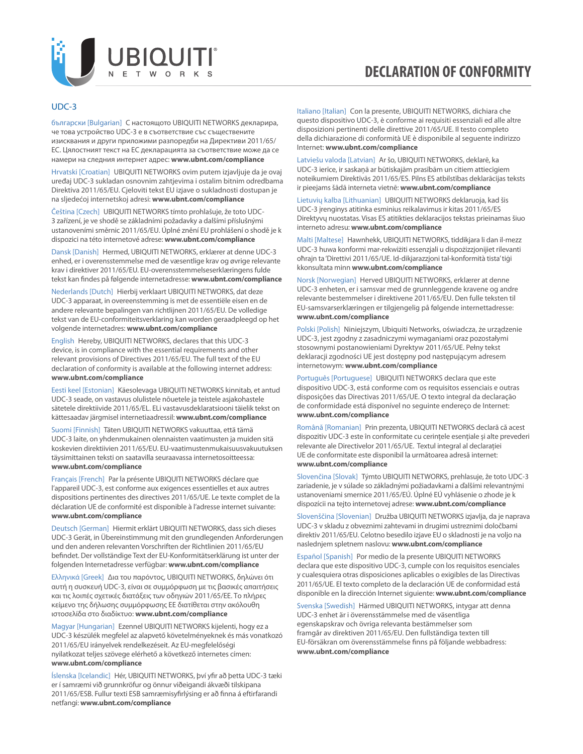

#### UDC-3

български [Bulgarian] С настоящото UBIQUITI NETWORKS декларира, че това устройство UDC-3 е в съответствие със съществените изисквания и други приложими разпоредби на Директиви 2011/65/ EC. Цялостният текст на ЕС декларацията за съответствие може да се намери на следния интернет адрес: **[www.ubnt.com/compliance](http://www.ubnt.com/compliance)**

Hrvatski [Croatian] UBIQUITI NETWORKS ovim putem izjavljuje da je ovaj uređaj UDC-3 sukladan osnovnim zahtjevima i ostalim bitnim odredbama Direktiva 2011/65/EU. Cjeloviti tekst EU izjave o sukladnosti dostupan je na sljedećoj internetskoj adresi: **[www.ubnt.com/compliance](http://www.ubnt.com/compliance)**

Čeština [Czech] UBIQUITI NETWORKS tímto prohlašuje, že toto UDC-3 zařízení, je ve shodě se základními požadavky a dalšími příslušnými ustanoveními směrnic 2011/65/EU. Úplné znění EU prohlášení o shodě je k dispozici na této internetové adrese: **[www.ubnt.com/compliance](http://www.ubnt.com/compliance)**

Dansk [Danish] Hermed, UBIQUITI NETWORKS, erklærer at denne UDC-3 enhed, er i overensstemmelse med de væsentlige krav og øvrige relevante krav i direktiver 2011/65/EU. EU-overensstemmelseserklæringens fulde tekst kan findes på følgende internetadresse: **[www.ubnt.com/compliance](http://www.ubnt.com/compliance)**

Nederlands [Dutch] Hierbij verklaart UBIQUITI NETWORKS, dat deze UDC-3 apparaat, in overeenstemming is met de essentiële eisen en de andere relevante bepalingen van richtlijnen 2011/65/EU. De volledige tekst van de EU-conformiteitsverklaring kan worden geraadpleegd op het volgende internetadres: **[www.ubnt.com/compliance](http://www.ubnt.com/compliance)**

English Hereby, UBIQUITI NETWORKS, declares that this UDC-3 device, is in compliance with the essential requirements and other relevant provisions of Directives 2011/65/EU. The full text of the EU declaration of conformity is available at the following internet address: **[www.ubnt.com/compliance](http://www.ubnt.com/compliance)**

Eesti keel [Estonian] Käesolevaga UBIQUITI NETWORKS kinnitab, et antud UDC-3 seade, on vastavus olulistele nõuetele ja teistele asjakohastele sätetele direktiivide 2011/65/EL. ELi vastavusdeklaratsiooni täielik tekst on kättesaadav järgmisel internetiaadressil: **[www.ubnt.com/compliance](http://www.ubnt.com/compliance)**

Suomi [Finnish] Täten UBIQUITI NETWORKS vakuuttaa, että tämä UDC-3 laite, on yhdenmukainen olennaisten vaatimusten ja muiden sitä koskevien direktiivien 2011/65/EU. EU-vaatimustenmukaisuusvakuutuksen täysimittainen teksti on saatavilla seuraavassa internetosoitteessa: **[www.ubnt.com/compliance](http://www.ubnt.com/compliance)**

Français [French] Par la présente UBIQUITI NETWORKS déclare que l'appareil UDC-3, est conforme aux exigences essentielles et aux autres dispositions pertinentes des directives 2011/65/UE. Le texte complet de la déclaration UE de conformité est disponible à l'adresse internet suivante: **[www.ubnt.com/compliance](http://www.ubnt.com/compliance)**

Deutsch [German] Hiermit erklärt UBIQUITI NETWORKS, dass sich dieses UDC-3 Gerät, in Übereinstimmung mit den grundlegenden Anforderungen und den anderen relevanten Vorschriften der Richtlinien 2011/65/EU befindet. Der vollständige Text der EU-Konformitätserklärung ist unter der folgenden Internetadresse verfügbar: **[www.ubnt.com/compliance](http://www.ubnt.com/compliance)**

Ελληνικά [Greek] Δια του παρόντος, UBIQUITI NETWORKS, δηλώνει ότι αυτή η συσκευή UDC-3, είναι σε συμμόρφωση με τις βασικές απαιτήσεις και τις λοιπές σχετικές διατάξεις των οδηγιών 2011/65/EE. Το πλήρες κείμενο της δήλωσης συμμόρφωσης ΕΕ διατίθεται στην ακόλουθη ιστοσελίδα στο διαδίκτυο: **[www.ubnt.com/compliance](http://www.ubnt.com/compliance)**

Magyar [Hungarian] Ezennel UBIQUITI NETWORKS kijelenti, hogy ez a UDC-3 készülék megfelel az alapvető követelményeknek és más vonatkozó 2011/65/EU irányelvek rendelkezéseit. Az EU-megfelelőségi nyilatkozat teljes szövege elérhető a következő internetes címen: **[www.ubnt.com/compliance](http://www.ubnt.com/compliance)**

Íslenska [Icelandic] Hér, UBIQUITI NETWORKS, því yfir að þetta UDC-3 tæki er í samræmi við grunnkröfur og önnur viðeigandi ákvæði tilskipana 2011/65/ESB. Fullur texti ESB samræmisyfirlýsing er að finna á eftirfarandi netfangi: **[www.ubnt.com/compliance](http://www.ubnt.com/compliance)**

Italiano [Italian] Con la presente, UBIQUITI NETWORKS, dichiara che questo dispositivo UDC-3, è conforme ai requisiti essenziali ed alle altre disposizioni pertinenti delle direttive 2011/65/UE. Il testo completo della dichiarazione di conformità UE è disponibile al seguente indirizzo Internet: **[www.ubnt.com/compliance](http://www.ubnt.com/compliance)**

Latviešu valoda [Latvian] Ar šo, UBIQUITI NETWORKS, deklarē, ka UDC-3 ierīce, ir saskaņā ar būtiskajām prasībām un citiem attiecīgiem noteikumiem Direktīvās 2011/65/ES. Pilns ES atbilstības deklarācijas teksts ir pieejams šādā interneta vietnē: **[www.ubnt.com/compliance](http://www.ubnt.com/compliance)**

Lietuvių kalba [Lithuanian] UBIQUITI NETWORKS deklaruoja, kad šis UDC-3 įrenginys atitinka esminius reikalavimus ir kitas 2011/65/ES Direktyvų nuostatas. Visas ES atitikties deklaracijos tekstas prieinamas šiuo interneto adresu: **[www.ubnt.com/compliance](http://www.ubnt.com/compliance)**

Malti [Maltese] Hawnhekk, UBIQUITI NETWORKS, tiddikjara li dan il-mezz UDC-3 huwa konformi mar-rekwiżiti essenzjali u dispożizzjonijiet rilevanti oħrajn ta 'Direttivi 2011/65/UE. Id-dikjarazzjoni tal-konformità tista' tiġi kkonsultata minn **[www.ubnt.com/compliance](http://www.ubnt.com/compliance)**

Norsk [Norwegian] Herved UBIQUITI NETWORKS, erklærer at denne UDC-3 enheten, er i samsvar med de grunnleggende kravene og andre relevante bestemmelser i direktivene 2011/65/EU. Den fulle teksten til EU-samsvarserklæringen er tilgjengelig på følgende internettadresse: **[www.ubnt.com/compliance](http://www.ubnt.com/compliance)**

Polski [Polish] Niniejszym, Ubiquiti Networks, oświadcza, że urządzenie UDC-3, jest zgodny z zasadniczymi wymaganiami oraz pozostałymi stosownymi postanowieniami Dyrektyw 2011/65/UE. Pełny tekst deklaracji zgodności UE jest dostępny pod następującym adresem internetowym: **[www.ubnt.com/compliance](http://www.ubnt.com/compliance)**

Português [Portuguese] UBIQUITI NETWORKS declara que este dispositivo UDC-3, está conforme com os requisitos essenciais e outras disposições das Directivas 2011/65/UE. O texto integral da declaração de conformidade está disponível no seguinte endereço de Internet: **[www.ubnt.com/compliance](http://www.ubnt.com/compliance)**

Română [Romanian] Prin prezenta, UBIQUITI NETWORKS declară că acest dispozitiv UDC-3 este în conformitate cu cerințele esențiale și alte prevederi relevante ale Directivelor 2011/65/UE. Textul integral al declarației UE de conformitate este disponibil la următoarea adresă internet: **[www.ubnt.com/compliance](http://www.ubnt.com/compliance)**

Slovenčina [Slovak] Týmto UBIQUITI NETWORKS, prehlasuje, že toto UDC-3 zariadenie, je v súlade so základnými požiadavkami a ďalšími relevantnými ustanoveniami smernice 2011/65/EÚ. Úplné EÚ vyhlásenie o zhode je k dispozícii na tejto internetovej adrese: **[www.ubnt.com/compliance](http://www.ubnt.com/compliance)**

Slovenščina [Slovenian] Družba UBIQUITI NETWORKS izjavlja, da je naprava UDC-3 v skladu z obveznimi zahtevami in drugimi ustreznimi določbami direktiv 2011/65/EU. Celotno besedilo izjave EU o skladnosti je na voljo na naslednjem spletnem naslovu: **[www.ubnt.com/compliance](http://www.ubnt.com/compliance)**

Español [Spanish] Por medio de la presente UBIQUITI NETWORKS declara que este dispositivo UDC-3, cumple con los requisitos esenciales y cualesquiera otras disposiciones aplicables o exigibles de las Directivas 2011/65/UE. El texto completo de la declaración UE de conformidad está disponible en la dirección Internet siguiente: **[www.ubnt.com/compliance](http://www.ubnt.com/compliance)**

Svenska [Swedish] Härmed UBIQUITI NETWORKS, intygar att denna UDC-3 enhet är i överensstämmelse med de väsentliga egenskapskrav och övriga relevanta bestämmelser som framgår av direktiven 2011/65/EU. Den fullständiga texten till EU-försäkran om överensstämmelse finns på följande webbadress: **[www.ubnt.com/compliance](http://www.ubnt.com/compliance)**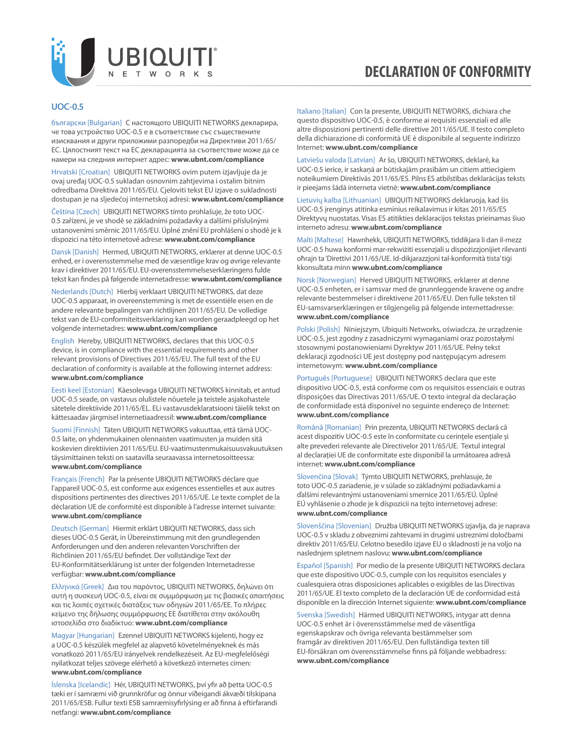

#### UOC-0.5

български [Bulgarian] С настоящото UBIQUITI NETWORKS декларира, че това устройство UOC-0.5 е в съответствие със съществените изисквания и други приложими разпоредби на Директиви 2011/65/ EC. Цялостният текст на ЕС декларацията за съответствие може да се намери на следния интернет адрес: **[www.ubnt.com/compliance](http://www.ubnt.com/compliance)**

Hrvatski [Croatian] UBIQUITI NETWORKS ovim putem izjavljuje da je ovaj uređaj UOC-0.5 sukladan osnovnim zahtjevima i ostalim bitnim odredbama Direktiva 2011/65/EU. Cjeloviti tekst EU izjave o sukladnosti dostupan je na sljedećoj internetskoj adresi: **[www.ubnt.com/compliance](http://www.ubnt.com/compliance)**

Čeština [Czech] UBIQUITI NETWORKS tímto prohlašuje, že toto UOC-0.5 zařízení, je ve shodě se základními požadavky a dalšími příslušnými ustanoveními směrnic 2011/65/EU. Úplné znění EU prohlášení o shodě je k dispozici na této internetové adrese: **[www.ubnt.com/compliance](http://www.ubnt.com/compliance)**

Dansk [Danish] Hermed, UBIQUITI NETWORKS, erklærer at denne UOC-0.5 enhed, er i overensstemmelse med de væsentlige krav og øvrige relevante krav i direktiver 2011/65/EU. EU-overensstemmelseserklæringens fulde tekst kan findes på følgende internetadresse: **[www.ubnt.com/compliance](http://www.ubnt.com/compliance)**

Nederlands [Dutch] Hierbij verklaart UBIQUITI NETWORKS, dat deze UOC-0.5 apparaat, in overeenstemming is met de essentiële eisen en de andere relevante bepalingen van richtlijnen 2011/65/EU. De volledige tekst van de EU-conformiteitsverklaring kan worden geraadpleegd op het volgende internetadres: **[www.ubnt.com/compliance](http://www.ubnt.com/compliance)**

English Hereby, UBIQUITI NETWORKS, declares that this UOC-0.5 device, is in compliance with the essential requirements and other relevant provisions of Directives 2011/65/EU. The full text of the EU declaration of conformity is available at the following internet address: **[www.ubnt.com/compliance](http://www.ubnt.com/compliance)**

Eesti keel [Estonian] Käesolevaga UBIQUITI NETWORKS kinnitab, et antud UOC-0.5 seade, on vastavus olulistele nõuetele ja teistele asjakohastele sätetele direktiivide 2011/65/EL. ELi vastavusdeklaratsiooni täielik tekst on kättesaadav järgmisel internetiaadressil: **[www.ubnt.com/compliance](http://www.ubnt.com/compliance)**

Suomi [Finnish] Täten UBIQUITI NETWORKS vakuuttaa, että tämä UOC-0.5 laite, on yhdenmukainen olennaisten vaatimusten ja muiden sitä koskevien direktiivien 2011/65/EU. EU-vaatimustenmukaisuusvakuutuksen täysimittainen teksti on saatavilla seuraavassa internetosoitteessa: **[www.ubnt.com/compliance](http://www.ubnt.com/compliance)**

Français [French] Par la présente UBIQUITI NETWORKS déclare que l'appareil UOC-0.5, est conforme aux exigences essentielles et aux autres dispositions pertinentes des directives 2011/65/UE. Le texte complet de la déclaration UE de conformité est disponible à l'adresse internet suivante: **[www.ubnt.com/compliance](http://www.ubnt.com/compliance)**

Deutsch [German] Hiermit erklärt UBIQUITI NETWORKS, dass sich dieses UOC-0.5 Gerät, in Übereinstimmung mit den grundlegenden Anforderungen und den anderen relevanten Vorschriften der Richtlinien 2011/65/EU befindet. Der vollständige Text der EU-Konformitätserklärung ist unter der folgenden Internetadresse verfügbar: **[www.ubnt.com/compliance](http://www.ubnt.com/compliance)**

Ελληνικά [Greek] Δια του παρόντος, UBIQUITI NETWORKS, δηλώνει ότι αυτή η συσκευή UOC-0.5, είναι σε συμμόρφωση με τις βασικές απαιτήσεις και τις λοιπές σχετικές διατάξεις των οδηγιών 2011/65/EE. Το πλήρες κείμενο της δήλωσης συμμόρφωσης ΕΕ διατίθεται στην ακόλουθη ιστοσελίδα στο διαδίκτυο: **[www.ubnt.com/compliance](http://www.ubnt.com/compliance)**

Magyar [Hungarian] Ezennel UBIQUITI NETWORKS kijelenti, hogy ez a UOC-0.5 készülék megfelel az alapvető követelményeknek és más vonatkozó 2011/65/EU irányelvek rendelkezéseit. Az EU-megfelelőségi nyilatkozat teljes szövege elérhető a következő internetes címen: **[www.ubnt.com/compliance](http://www.ubnt.com/compliance)**

Íslenska [Icelandic] Hér, UBIQUITI NETWORKS, því yfir að þetta UOC-0.5 tæki er í samræmi við grunnkröfur og önnur viðeigandi ákvæði tilskipana 2011/65/ESB. Fullur texti ESB samræmisyfirlýsing er að finna á eftirfarandi netfangi: **[www.ubnt.com/compliance](http://www.ubnt.com/compliance)**

Italiano [Italian] Con la presente, UBIQUITI NETWORKS, dichiara che questo dispositivo UOC-0.5, è conforme ai requisiti essenziali ed alle altre disposizioni pertinenti delle direttive 2011/65/UE. Il testo completo della dichiarazione di conformità UE è disponibile al seguente indirizzo Internet: **[www.ubnt.com/compliance](http://www.ubnt.com/compliance)**

Latviešu valoda [Latvian] Ar šo, UBIQUITI NETWORKS, deklarē, ka UOC-0.5 ierīce, ir saskaņā ar būtiskajām prasībām un citiem attiecīgiem noteikumiem Direktīvās 2011/65/ES. Pilns ES atbilstības deklarācijas teksts ir pieejams šādā interneta vietnē: **[www.ubnt.com/compliance](http://www.ubnt.com/compliance)**

Lietuvių kalba [Lithuanian] UBIQUITI NETWORKS deklaruoja, kad šis UOC-0.5 įrenginys atitinka esminius reikalavimus ir kitas 2011/65/ES Direktyvų nuostatas. Visas ES atitikties deklaracijos tekstas prieinamas šiuo interneto adresu: **[www.ubnt.com/compliance](http://www.ubnt.com/compliance)**

Malti [Maltese] Hawnhekk, UBIQUITI NETWORKS, tiddikjara li dan il-mezz UOC-0.5 huwa konformi mar-rekwiżiti essenzjali u dispożizzjonijiet rilevanti oħrajn ta 'Direttivi 2011/65/UE. Id-dikjarazzjoni tal-konformità tista' tiġi kkonsultata minn **[www.ubnt.com/compliance](http://www.ubnt.com/compliance)**

Norsk [Norwegian] Herved UBIQUITI NETWORKS, erklærer at denne UOC-0.5 enheten, er i samsvar med de grunnleggende kravene og andre relevante bestemmelser i direktivene 2011/65/EU. Den fulle teksten til EU-samsvarserklæringen er tilgjengelig på følgende internettadresse: **[www.ubnt.com/compliance](http://www.ubnt.com/compliance)**

Polski [Polish] Niniejszym, Ubiquiti Networks, oświadcza, że urządzenie UOC-0.5, jest zgodny z zasadniczymi wymaganiami oraz pozostałymi stosownymi postanowieniami Dyrektyw 2011/65/UE. Pełny tekst deklaracji zgodności UE jest dostępny pod następującym adresem internetowym: **[www.ubnt.com/compliance](http://www.ubnt.com/compliance)**

Português [Portuguese] UBIQUITI NETWORKS declara que este dispositivo UOC-0.5, está conforme com os requisitos essenciais e outras disposições das Directivas 2011/65/UE. O texto integral da declaração de conformidade está disponível no seguinte endereço de Internet: **[www.ubnt.com/compliance](http://www.ubnt.com/compliance)**

Română [Romanian] Prin prezenta, UBIQUITI NETWORKS declară că acest dispozitiv UOC-0.5 este în conformitate cu cerințele esențiale și alte prevederi relevante ale Directivelor 2011/65/UE. Textul integral al declarației UE de conformitate este disponibil la următoarea adresă internet: **[www.ubnt.com/compliance](http://www.ubnt.com/compliance)**

Slovenčina [Slovak] Týmto UBIQUITI NETWORKS, prehlasuje, že toto UOC-0.5 zariadenie, je v súlade so základnými požiadavkami a ďalšími relevantnými ustanoveniami smernice 2011/65/EÚ. Úplné EÚ vyhlásenie o zhode je k dispozícii na tejto internetovej adrese: **[www.ubnt.com/compliance](http://www.ubnt.com/compliance)**

Slovenščina [Slovenian] Družba UBIQUITI NETWORKS izjavlja, da je naprava UOC-0.5 v skladu z obveznimi zahtevami in drugimi ustreznimi določbami direktiv 2011/65/EU. Celotno besedilo izjave EU o skladnosti je na voljo na naslednjem spletnem naslovu: **[www.ubnt.com/compliance](http://www.ubnt.com/compliance)**

Español [Spanish] Por medio de la presente UBIQUITI NETWORKS declara que este dispositivo UOC-0.5, cumple con los requisitos esenciales y cualesquiera otras disposiciones aplicables o exigibles de las Directivas 2011/65/UE. El texto completo de la declaración UE de conformidad está disponible en la dirección Internet siguiente: **[www.ubnt.com/compliance](http://www.ubnt.com/compliance)**

Svenska [Swedish] Härmed UBIQUITI NETWORKS, intygar att denna UOC-0.5 enhet är i överensstämmelse med de väsentliga egenskapskrav och övriga relevanta bestämmelser som framgår av direktiven 2011/65/EU. Den fullständiga texten till EU-försäkran om överensstämmelse finns på följande webbadress: **[www.ubnt.com/compliance](http://www.ubnt.com/compliance)**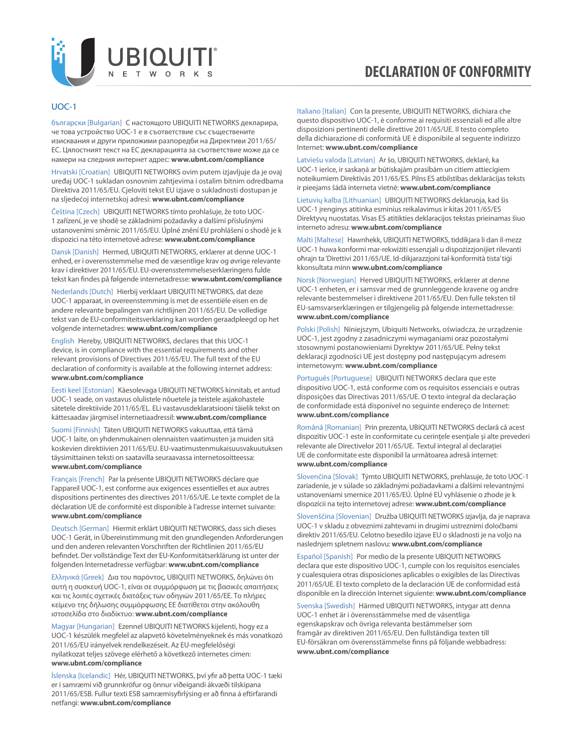

#### UOC-1

български [Bulgarian] С настоящото UBIQUITI NETWORKS декларира, че това устройство UOC-1 е в съответствие със съществените изисквания и други приложими разпоредби на Директиви 2011/65/ EC. Цялостният текст на ЕС декларацията за съответствие може да се намери на следния интернет адрес: **[www.ubnt.com/compliance](http://www.ubnt.com/compliance)**

Hrvatski [Croatian] UBIQUITI NETWORKS ovim putem izjavljuje da je ovaj uređaj UOC-1 sukladan osnovnim zahtjevima i ostalim bitnim odredbama Direktiva 2011/65/EU. Cjeloviti tekst EU izjave o sukladnosti dostupan je na sljedećoj internetskoj adresi: **[www.ubnt.com/compliance](http://www.ubnt.com/compliance)**

Čeština [Czech] UBIQUITI NETWORKS tímto prohlašuje, že toto UOC-1 zařízení, je ve shodě se základními požadavky a dalšími příslušnými ustanoveními směrnic 2011/65/EU. Úplné znění EU prohlášení o shodě je k dispozici na této internetové adrese: **[www.ubnt.com/compliance](http://www.ubnt.com/compliance)**

Dansk [Danish] Hermed, UBIQUITI NETWORKS, erklærer at denne UOC-1 enhed, er i overensstemmelse med de væsentlige krav og øvrige relevante krav i direktiver 2011/65/EU. EU-overensstemmelseserklæringens fulde tekst kan findes på følgende internetadresse: **[www.ubnt.com/compliance](http://www.ubnt.com/compliance)**

Nederlands [Dutch] Hierbij verklaart UBIQUITI NETWORKS, dat deze UOC-1 apparaat, in overeenstemming is met de essentiële eisen en de andere relevante bepalingen van richtlijnen 2011/65/EU. De volledige tekst van de EU-conformiteitsverklaring kan worden geraadpleegd op het volgende internetadres: **[www.ubnt.com/compliance](http://www.ubnt.com/compliance)**

English Hereby, UBIQUITI NETWORKS, declares that this UOC-1 device, is in compliance with the essential requirements and other relevant provisions of Directives 2011/65/EU. The full text of the EU declaration of conformity is available at the following internet address: **[www.ubnt.com/compliance](http://www.ubnt.com/compliance)**

Eesti keel [Estonian] Käesolevaga UBIQUITI NETWORKS kinnitab, et antud UOC-1 seade, on vastavus olulistele nõuetele ja teistele asjakohastele sätetele direktiivide 2011/65/EL. ELi vastavusdeklaratsiooni täielik tekst on kättesaadav järgmisel internetiaadressil: **[www.ubnt.com/compliance](http://www.ubnt.com/compliance)**

Suomi [Finnish] Täten UBIQUITI NETWORKS vakuuttaa, että tämä UOC-1 laite, on yhdenmukainen olennaisten vaatimusten ja muiden sitä koskevien direktiivien 2011/65/EU. EU-vaatimustenmukaisuusvakuutuksen täysimittainen teksti on saatavilla seuraavassa internetosoitteessa: **[www.ubnt.com/compliance](http://www.ubnt.com/compliance)**

Français [French] Par la présente UBIQUITI NETWORKS déclare que l'appareil UOC-1, est conforme aux exigences essentielles et aux autres dispositions pertinentes des directives 2011/65/UE. Le texte complet de la déclaration UE de conformité est disponible à l'adresse internet suivante: **[www.ubnt.com/compliance](http://www.ubnt.com/compliance)**

Deutsch [German] Hiermit erklärt UBIQUITI NETWORKS, dass sich dieses UOC-1 Gerät, in Übereinstimmung mit den grundlegenden Anforderungen und den anderen relevanten Vorschriften der Richtlinien 2011/65/EU befindet. Der vollständige Text der EU-Konformitätserklärung ist unter der folgenden Internetadresse verfügbar: **[www.ubnt.com/compliance](http://www.ubnt.com/compliance)**

Ελληνικά [Greek] Δια του παρόντος, UBIQUITI NETWORKS, δηλώνει ότι αυτή η συσκευή UOC-1, είναι σε συμμόρφωση με τις βασικές απαιτήσεις και τις λοιπές σχετικές διατάξεις των οδηγιών 2011/65/EE. Το πλήρες κείμενο της δήλωσης συμμόρφωσης ΕΕ διατίθεται στην ακόλουθη ιστοσελίδα στο διαδίκτυο: **[www.ubnt.com/compliance](http://www.ubnt.com/compliance)**

Magyar [Hungarian] Ezennel UBIQUITI NETWORKS kijelenti, hogy ez a UOC-1 készülék megfelel az alapvető követelményeknek és más vonatkozó 2011/65/EU irányelvek rendelkezéseit. Az EU-megfelelőségi nyilatkozat teljes szövege elérhető a következő internetes címen: **[www.ubnt.com/compliance](http://www.ubnt.com/compliance)**

Íslenska [Icelandic] Hér, UBIQUITI NETWORKS, því yfir að þetta UOC-1 tæki er í samræmi við grunnkröfur og önnur viðeigandi ákvæði tilskipana 2011/65/ESB. Fullur texti ESB samræmisyfirlýsing er að finna á eftirfarandi netfangi: **[www.ubnt.com/compliance](http://www.ubnt.com/compliance)**

Italiano [Italian] Con la presente, UBIQUITI NETWORKS, dichiara che questo dispositivo UOC-1, è conforme ai requisiti essenziali ed alle altre disposizioni pertinenti delle direttive 2011/65/UE. Il testo completo della dichiarazione di conformità UE è disponibile al seguente indirizzo Internet: **[www.ubnt.com/compliance](http://www.ubnt.com/compliance)**

Latviešu valoda [Latvian] Ar šo, UBIQUITI NETWORKS, deklarē, ka UOC-1 ierīce, ir saskaņā ar būtiskajām prasībām un citiem attiecīgiem noteikumiem Direktīvās 2011/65/ES. Pilns ES atbilstības deklarācijas teksts ir pieejams šādā interneta vietnē: **[www.ubnt.com/compliance](http://www.ubnt.com/compliance)**

Lietuvių kalba [Lithuanian] UBIQUITI NETWORKS deklaruoja, kad šis UOC-1 įrenginys atitinka esminius reikalavimus ir kitas 2011/65/ES Direktyvų nuostatas. Visas ES atitikties deklaracijos tekstas prieinamas šiuo interneto adresu: **[www.ubnt.com/compliance](http://www.ubnt.com/compliance)**

Malti [Maltese] Hawnhekk, UBIQUITI NETWORKS, tiddikjara li dan il-mezz UOC-1 huwa konformi mar-rekwiżiti essenzjali u dispożizzjonijiet rilevanti oħrajn ta 'Direttivi 2011/65/UE. Id-dikjarazzjoni tal-konformità tista' tiġi kkonsultata minn **[www.ubnt.com/compliance](http://www.ubnt.com/compliance)**

Norsk [Norwegian] Herved UBIQUITI NETWORKS, erklærer at denne UOC-1 enheten, er i samsvar med de grunnleggende kravene og andre relevante bestemmelser i direktivene 2011/65/EU. Den fulle teksten til EU-samsvarserklæringen er tilgjengelig på følgende internettadresse: **[www.ubnt.com/compliance](http://www.ubnt.com/compliance)**

Polski [Polish] Niniejszym, Ubiquiti Networks, oświadcza, że urządzenie UOC-1, jest zgodny z zasadniczymi wymaganiami oraz pozostałymi stosownymi postanowieniami Dyrektyw 2011/65/UE. Pełny tekst deklaracji zgodności UE jest dostępny pod następującym adresem internetowym: **[www.ubnt.com/compliance](http://www.ubnt.com/compliance)**

Português [Portuguese] UBIQUITI NETWORKS declara que este dispositivo UOC-1, está conforme com os requisitos essenciais e outras disposições das Directivas 2011/65/UE. O texto integral da declaração de conformidade está disponível no seguinte endereço de Internet: **[www.ubnt.com/compliance](http://www.ubnt.com/compliance)**

Română [Romanian] Prin prezenta, UBIQUITI NETWORKS declară că acest dispozitiv UOC-1 este în conformitate cu cerințele esențiale și alte prevederi relevante ale Directivelor 2011/65/UE. Textul integral al declarației UE de conformitate este disponibil la următoarea adresă internet: **[www.ubnt.com/compliance](http://www.ubnt.com/compliance)**

Slovenčina [Slovak] Týmto UBIQUITI NETWORKS, prehlasuje, že toto UOC-1 zariadenie, je v súlade so základnými požiadavkami a ďalšími relevantnými ustanoveniami smernice 2011/65/EÚ. Úplné EÚ vyhlásenie o zhode je k dispozícii na tejto internetovej adrese: **[www.ubnt.com/compliance](http://www.ubnt.com/compliance)**

Slovenščina [Slovenian] Družba UBIQUITI NETWORKS izjavlja, da je naprava UOC-1 v skladu z obveznimi zahtevami in drugimi ustreznimi določbami direktiv 2011/65/EU. Celotno besedilo izjave EU o skladnosti je na voljo na naslednjem spletnem naslovu: **[www.ubnt.com/compliance](http://www.ubnt.com/compliance)**

Español [Spanish] Por medio de la presente UBIQUITI NETWORKS declara que este dispositivo UOC-1, cumple con los requisitos esenciales y cualesquiera otras disposiciones aplicables o exigibles de las Directivas 2011/65/UE. El texto completo de la declaración UE de conformidad está disponible en la dirección Internet siguiente: **[www.ubnt.com/compliance](http://www.ubnt.com/compliance)**

Svenska [Swedish] Härmed UBIQUITI NETWORKS, intygar att denna UOC-1 enhet är i överensstämmelse med de väsentliga egenskapskrav och övriga relevanta bestämmelser som framgår av direktiven 2011/65/EU. Den fullständiga texten till EU-försäkran om överensstämmelse finns på följande webbadress: **[www.ubnt.com/compliance](http://www.ubnt.com/compliance)**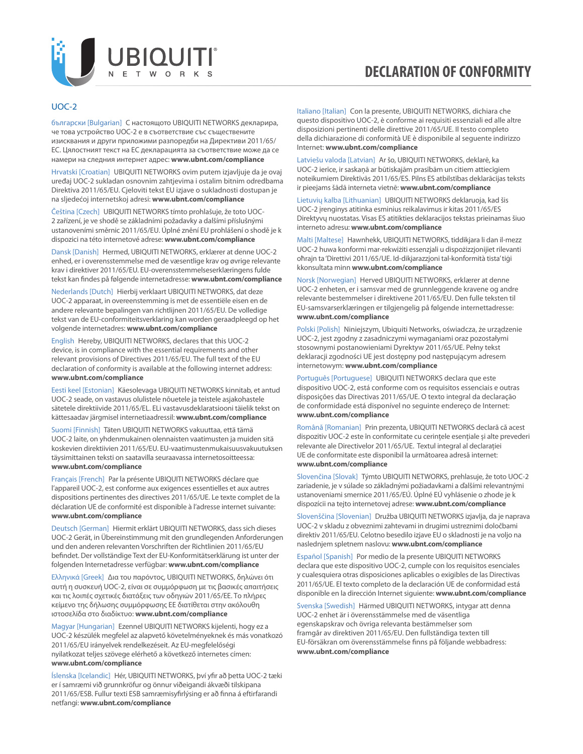

#### UOC-2

български [Bulgarian] С настоящото UBIQUITI NETWORKS декларира, че това устройство UOC-2 е в съответствие със съществените изисквания и други приложими разпоредби на Директиви 2011/65/ EC. Цялостният текст на ЕС декларацията за съответствие може да се намери на следния интернет адрес: **[www.ubnt.com/compliance](http://www.ubnt.com/compliance)**

Hrvatski [Croatian] UBIQUITI NETWORKS ovim putem izjavljuje da je ovaj uređaj UOC-2 sukladan osnovnim zahtjevima i ostalim bitnim odredbama Direktiva 2011/65/EU. Cjeloviti tekst EU izjave o sukladnosti dostupan je na sljedećoj internetskoj adresi: **[www.ubnt.com/compliance](http://www.ubnt.com/compliance)**

Čeština [Czech] UBIQUITI NETWORKS tímto prohlašuje, že toto UOC-2 zařízení, je ve shodě se základními požadavky a dalšími příslušnými ustanoveními směrnic 2011/65/EU. Úplné znění EU prohlášení o shodě je k dispozici na této internetové adrese: **[www.ubnt.com/compliance](http://www.ubnt.com/compliance)**

Dansk [Danish] Hermed, UBIQUITI NETWORKS, erklærer at denne UOC-2 enhed, er i overensstemmelse med de væsentlige krav og øvrige relevante krav i direktiver 2011/65/EU. EU-overensstemmelseserklæringens fulde tekst kan findes på følgende internetadresse: **[www.ubnt.com/compliance](http://www.ubnt.com/compliance)**

Nederlands [Dutch] Hierbij verklaart UBIQUITI NETWORKS, dat deze UOC-2 apparaat, in overeenstemming is met de essentiële eisen en de andere relevante bepalingen van richtlijnen 2011/65/EU. De volledige tekst van de EU-conformiteitsverklaring kan worden geraadpleegd op het volgende internetadres: **[www.ubnt.com/compliance](http://www.ubnt.com/compliance)**

English Hereby, UBIQUITI NETWORKS, declares that this UOC-2 device, is in compliance with the essential requirements and other relevant provisions of Directives 2011/65/EU. The full text of the EU declaration of conformity is available at the following internet address: **[www.ubnt.com/compliance](http://www.ubnt.com/compliance)**

Eesti keel [Estonian] Käesolevaga UBIQUITI NETWORKS kinnitab, et antud UOC-2 seade, on vastavus olulistele nõuetele ja teistele asjakohastele sätetele direktiivide 2011/65/EL. ELi vastavusdeklaratsiooni täielik tekst on kättesaadav järgmisel internetiaadressil: **[www.ubnt.com/compliance](http://www.ubnt.com/compliance)**

Suomi [Finnish] Täten UBIQUITI NETWORKS vakuuttaa, että tämä UOC-2 laite, on yhdenmukainen olennaisten vaatimusten ja muiden sitä koskevien direktiivien 2011/65/EU. EU-vaatimustenmukaisuusvakuutuksen täysimittainen teksti on saatavilla seuraavassa internetosoitteessa: **[www.ubnt.com/compliance](http://www.ubnt.com/compliance)**

Français [French] Par la présente UBIQUITI NETWORKS déclare que l'appareil UOC-2, est conforme aux exigences essentielles et aux autres dispositions pertinentes des directives 2011/65/UE. Le texte complet de la déclaration UE de conformité est disponible à l'adresse internet suivante: **[www.ubnt.com/compliance](http://www.ubnt.com/compliance)**

Deutsch [German] Hiermit erklärt UBIQUITI NETWORKS, dass sich dieses UOC-2 Gerät, in Übereinstimmung mit den grundlegenden Anforderungen und den anderen relevanten Vorschriften der Richtlinien 2011/65/EU befindet. Der vollständige Text der EU-Konformitätserklärung ist unter der folgenden Internetadresse verfügbar: **[www.ubnt.com/compliance](http://www.ubnt.com/compliance)**

Ελληνικά [Greek] Δια του παρόντος, UBIQUITI NETWORKS, δηλώνει ότι αυτή η συσκευή UOC-2, είναι σε συμμόρφωση με τις βασικές απαιτήσεις και τις λοιπές σχετικές διατάξεις των οδηγιών 2011/65/EE. Το πλήρες κείμενο της δήλωσης συμμόρφωσης ΕΕ διατίθεται στην ακόλουθη ιστοσελίδα στο διαδίκτυο: **[www.ubnt.com/compliance](http://www.ubnt.com/compliance)**

Magyar [Hungarian] Ezennel UBIQUITI NETWORKS kijelenti, hogy ez a UOC-2 készülék megfelel az alapvető követelményeknek és más vonatkozó 2011/65/EU irányelvek rendelkezéseit. Az EU-megfelelőségi nyilatkozat teljes szövege elérhető a következő internetes címen: **[www.ubnt.com/compliance](http://www.ubnt.com/compliance)**

Íslenska [Icelandic] Hér, UBIQUITI NETWORKS, því yfir að þetta UOC-2 tæki er í samræmi við grunnkröfur og önnur viðeigandi ákvæði tilskipana 2011/65/ESB. Fullur texti ESB samræmisyfirlýsing er að finna á eftirfarandi netfangi: **[www.ubnt.com/compliance](http://www.ubnt.com/compliance)**

Italiano [Italian] Con la presente, UBIQUITI NETWORKS, dichiara che questo dispositivo UOC-2, è conforme ai requisiti essenziali ed alle altre disposizioni pertinenti delle direttive 2011/65/UE. Il testo completo della dichiarazione di conformità UE è disponibile al seguente indirizzo Internet: **[www.ubnt.com/compliance](http://www.ubnt.com/compliance)**

Latviešu valoda [Latvian] Ar šo, UBIQUITI NETWORKS, deklarē, ka UOC-2 ierīce, ir saskaņā ar būtiskajām prasībām un citiem attiecīgiem noteikumiem Direktīvās 2011/65/ES. Pilns ES atbilstības deklarācijas teksts ir pieejams šādā interneta vietnē: **[www.ubnt.com/compliance](http://www.ubnt.com/compliance)**

Lietuvių kalba [Lithuanian] UBIQUITI NETWORKS deklaruoja, kad šis UOC-2 įrenginys atitinka esminius reikalavimus ir kitas 2011/65/ES Direktyvų nuostatas. Visas ES atitikties deklaracijos tekstas prieinamas šiuo interneto adresu: **[www.ubnt.com/compliance](http://www.ubnt.com/compliance)**

Malti [Maltese] Hawnhekk, UBIQUITI NETWORKS, tiddikjara li dan il-mezz UOC-2 huwa konformi mar-rekwiżiti essenzjali u dispożizzjonijiet rilevanti oħrajn ta 'Direttivi 2011/65/UE. Id-dikjarazzjoni tal-konformità tista' tiġi kkonsultata minn **[www.ubnt.com/compliance](http://www.ubnt.com/compliance)**

Norsk [Norwegian] Herved UBIQUITI NETWORKS, erklærer at denne UOC-2 enheten, er i samsvar med de grunnleggende kravene og andre relevante bestemmelser i direktivene 2011/65/EU. Den fulle teksten til EU-samsvarserklæringen er tilgjengelig på følgende internettadresse: **[www.ubnt.com/compliance](http://www.ubnt.com/compliance)**

Polski [Polish] Niniejszym, Ubiquiti Networks, oświadcza, że urządzenie UOC-2, jest zgodny z zasadniczymi wymaganiami oraz pozostałymi stosownymi postanowieniami Dyrektyw 2011/65/UE. Pełny tekst deklaracji zgodności UE jest dostępny pod następującym adresem internetowym: **[www.ubnt.com/compliance](http://www.ubnt.com/compliance)**

Português [Portuguese] UBIQUITI NETWORKS declara que este dispositivo UOC-2, está conforme com os requisitos essenciais e outras disposições das Directivas 2011/65/UE. O texto integral da declaração de conformidade está disponível no seguinte endereço de Internet: **[www.ubnt.com/compliance](http://www.ubnt.com/compliance)**

Română [Romanian] Prin prezenta, UBIQUITI NETWORKS declară că acest dispozitiv UOC-2 este în conformitate cu cerințele esențiale și alte prevederi relevante ale Directivelor 2011/65/UE. Textul integral al declarației UE de conformitate este disponibil la următoarea adresă internet: **[www.ubnt.com/compliance](http://www.ubnt.com/compliance)**

Slovenčina [Slovak] Týmto UBIQUITI NETWORKS, prehlasuje, že toto UOC-2 zariadenie, je v súlade so základnými požiadavkami a ďalšími relevantnými ustanoveniami smernice 2011/65/EÚ. Úplné EÚ vyhlásenie o zhode je k dispozícii na tejto internetovej adrese: **[www.ubnt.com/compliance](http://www.ubnt.com/compliance)**

Slovenščina [Slovenian] Družba UBIQUITI NETWORKS izjavlja, da je naprava UOC-2 v skladu z obveznimi zahtevami in drugimi ustreznimi določbami direktiv 2011/65/EU. Celotno besedilo izjave EU o skladnosti je na voljo na naslednjem spletnem naslovu: **[www.ubnt.com/compliance](http://www.ubnt.com/compliance)**

Español [Spanish] Por medio de la presente UBIQUITI NETWORKS declara que este dispositivo UOC-2, cumple con los requisitos esenciales y cualesquiera otras disposiciones aplicables o exigibles de las Directivas 2011/65/UE. El texto completo de la declaración UE de conformidad está disponible en la dirección Internet siguiente: **[www.ubnt.com/compliance](http://www.ubnt.com/compliance)**

Svenska [Swedish] Härmed UBIQUITI NETWORKS, intygar att denna UOC-2 enhet är i överensstämmelse med de väsentliga egenskapskrav och övriga relevanta bestämmelser som framgår av direktiven 2011/65/EU. Den fullständiga texten till EU-försäkran om överensstämmelse finns på följande webbadress: **[www.ubnt.com/compliance](http://www.ubnt.com/compliance)**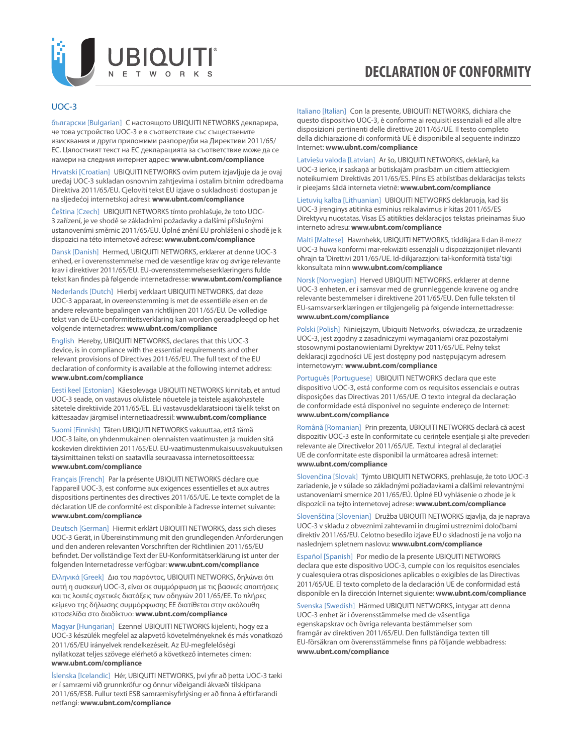

#### UOC-3

български [Bulgarian] С настоящото UBIQUITI NETWORKS декларира, че това устройство UOC-3 е в съответствие със съществените изисквания и други приложими разпоредби на Директиви 2011/65/ EC. Цялостният текст на ЕС декларацията за съответствие може да се намери на следния интернет адрес: **[www.ubnt.com/compliance](http://www.ubnt.com/compliance)**

Hrvatski [Croatian] UBIQUITI NETWORKS ovim putem izjavljuje da je ovaj uređaj UOC-3 sukladan osnovnim zahtjevima i ostalim bitnim odredbama Direktiva 2011/65/EU. Cjeloviti tekst EU izjave o sukladnosti dostupan je na sljedećoj internetskoj adresi: **[www.ubnt.com/compliance](http://www.ubnt.com/compliance)**

Čeština [Czech] UBIQUITI NETWORKS tímto prohlašuje, že toto UOC-3 zařízení, je ve shodě se základními požadavky a dalšími příslušnými ustanoveními směrnic 2011/65/EU. Úplné znění EU prohlášení o shodě je k dispozici na této internetové adrese: **[www.ubnt.com/compliance](http://www.ubnt.com/compliance)**

Dansk [Danish] Hermed, UBIQUITI NETWORKS, erklærer at denne UOC-3 enhed, er i overensstemmelse med de væsentlige krav og øvrige relevante krav i direktiver 2011/65/EU. EU-overensstemmelseserklæringens fulde tekst kan findes på følgende internetadresse: **[www.ubnt.com/compliance](http://www.ubnt.com/compliance)**

Nederlands [Dutch] Hierbij verklaart UBIQUITI NETWORKS, dat deze UOC-3 apparaat, in overeenstemming is met de essentiële eisen en de andere relevante bepalingen van richtlijnen 2011/65/EU. De volledige tekst van de EU-conformiteitsverklaring kan worden geraadpleegd op het volgende internetadres: **[www.ubnt.com/compliance](http://www.ubnt.com/compliance)**

English Hereby, UBIQUITI NETWORKS, declares that this UOC-3 device, is in compliance with the essential requirements and other relevant provisions of Directives 2011/65/EU. The full text of the EU declaration of conformity is available at the following internet address: **[www.ubnt.com/compliance](http://www.ubnt.com/compliance)**

Eesti keel [Estonian] Käesolevaga UBIQUITI NETWORKS kinnitab, et antud UOC-3 seade, on vastavus olulistele nõuetele ja teistele asjakohastele sätetele direktiivide 2011/65/EL. ELi vastavusdeklaratsiooni täielik tekst on kättesaadav järgmisel internetiaadressil: **[www.ubnt.com/compliance](http://www.ubnt.com/compliance)**

Suomi [Finnish] Täten UBIQUITI NETWORKS vakuuttaa, että tämä UOC-3 laite, on yhdenmukainen olennaisten vaatimusten ja muiden sitä koskevien direktiivien 2011/65/EU. EU-vaatimustenmukaisuusvakuutuksen täysimittainen teksti on saatavilla seuraavassa internetosoitteessa: **[www.ubnt.com/compliance](http://www.ubnt.com/compliance)**

Français [French] Par la présente UBIQUITI NETWORKS déclare que l'appareil UOC-3, est conforme aux exigences essentielles et aux autres dispositions pertinentes des directives 2011/65/UE. Le texte complet de la déclaration UE de conformité est disponible à l'adresse internet suivante: **[www.ubnt.com/compliance](http://www.ubnt.com/compliance)**

Deutsch [German] Hiermit erklärt UBIQUITI NETWORKS, dass sich dieses UOC-3 Gerät, in Übereinstimmung mit den grundlegenden Anforderungen und den anderen relevanten Vorschriften der Richtlinien 2011/65/EU befindet. Der vollständige Text der EU-Konformitätserklärung ist unter der folgenden Internetadresse verfügbar: **[www.ubnt.com/compliance](http://www.ubnt.com/compliance)**

Ελληνικά [Greek] Δια του παρόντος, UBIQUITI NETWORKS, δηλώνει ότι αυτή η συσκευή UOC-3, είναι σε συμμόρφωση με τις βασικές απαιτήσεις και τις λοιπές σχετικές διατάξεις των οδηγιών 2011/65/EE. Το πλήρες κείμενο της δήλωσης συμμόρφωσης ΕΕ διατίθεται στην ακόλουθη ιστοσελίδα στο διαδίκτυο: **[www.ubnt.com/compliance](http://www.ubnt.com/compliance)**

Magyar [Hungarian] Ezennel UBIQUITI NETWORKS kijelenti, hogy ez a UOC-3 készülék megfelel az alapvető követelményeknek és más vonatkozó 2011/65/EU irányelvek rendelkezéseit. Az EU-megfelelőségi nyilatkozat teljes szövege elérhető a következő internetes címen: **[www.ubnt.com/compliance](http://www.ubnt.com/compliance)**

Íslenska [Icelandic] Hér, UBIQUITI NETWORKS, því yfir að þetta UOC-3 tæki er í samræmi við grunnkröfur og önnur viðeigandi ákvæði tilskipana 2011/65/ESB. Fullur texti ESB samræmisyfirlýsing er að finna á eftirfarandi netfangi: **[www.ubnt.com/compliance](http://www.ubnt.com/compliance)**

Italiano [Italian] Con la presente, UBIQUITI NETWORKS, dichiara che questo dispositivo UOC-3, è conforme ai requisiti essenziali ed alle altre disposizioni pertinenti delle direttive 2011/65/UE. Il testo completo della dichiarazione di conformità UE è disponibile al seguente indirizzo Internet: **[www.ubnt.com/compliance](http://www.ubnt.com/compliance)**

Latviešu valoda [Latvian] Ar šo, UBIQUITI NETWORKS, deklarē, ka UOC-3 ierīce, ir saskaņā ar būtiskajām prasībām un citiem attiecīgiem noteikumiem Direktīvās 2011/65/ES. Pilns ES atbilstības deklarācijas teksts ir pieejams šādā interneta vietnē: **[www.ubnt.com/compliance](http://www.ubnt.com/compliance)**

Lietuvių kalba [Lithuanian] UBIQUITI NETWORKS deklaruoja, kad šis UOC-3 įrenginys atitinka esminius reikalavimus ir kitas 2011/65/ES Direktyvų nuostatas. Visas ES atitikties deklaracijos tekstas prieinamas šiuo interneto adresu: **[www.ubnt.com/compliance](http://www.ubnt.com/compliance)**

Malti [Maltese] Hawnhekk, UBIQUITI NETWORKS, tiddikjara li dan il-mezz UOC-3 huwa konformi mar-rekwiżiti essenzjali u dispożizzjonijiet rilevanti oħrajn ta 'Direttivi 2011/65/UE. Id-dikjarazzjoni tal-konformità tista' tiġi kkonsultata minn **[www.ubnt.com/compliance](http://www.ubnt.com/compliance)**

Norsk [Norwegian] Herved UBIQUITI NETWORKS, erklærer at denne UOC-3 enheten, er i samsvar med de grunnleggende kravene og andre relevante bestemmelser i direktivene 2011/65/EU. Den fulle teksten til EU-samsvarserklæringen er tilgjengelig på følgende internettadresse: **[www.ubnt.com/compliance](http://www.ubnt.com/compliance)**

Polski [Polish] Niniejszym, Ubiquiti Networks, oświadcza, że urządzenie UOC-3, jest zgodny z zasadniczymi wymaganiami oraz pozostałymi stosownymi postanowieniami Dyrektyw 2011/65/UE. Pełny tekst deklaracji zgodności UE jest dostępny pod następującym adresem internetowym: **[www.ubnt.com/compliance](http://www.ubnt.com/compliance)**

Português [Portuguese] UBIQUITI NETWORKS declara que este dispositivo UOC-3, está conforme com os requisitos essenciais e outras disposições das Directivas 2011/65/UE. O texto integral da declaração de conformidade está disponível no seguinte endereço de Internet: **[www.ubnt.com/compliance](http://www.ubnt.com/compliance)**

Română [Romanian] Prin prezenta, UBIQUITI NETWORKS declară că acest dispozitiv UOC-3 este în conformitate cu cerințele esențiale și alte prevederi relevante ale Directivelor 2011/65/UE. Textul integral al declarației UE de conformitate este disponibil la următoarea adresă internet: **[www.ubnt.com/compliance](http://www.ubnt.com/compliance)**

Slovenčina [Slovak] Týmto UBIQUITI NETWORKS, prehlasuje, že toto UOC-3 zariadenie, je v súlade so základnými požiadavkami a ďalšími relevantnými ustanoveniami smernice 2011/65/EÚ. Úplné EÚ vyhlásenie o zhode je k dispozícii na tejto internetovej adrese: **[www.ubnt.com/compliance](http://www.ubnt.com/compliance)**

Slovenščina [Slovenian] Družba UBIQUITI NETWORKS izjavlja, da je naprava UOC-3 v skladu z obveznimi zahtevami in drugimi ustreznimi določbami direktiv 2011/65/EU. Celotno besedilo izjave EU o skladnosti je na voljo na naslednjem spletnem naslovu: **[www.ubnt.com/compliance](http://www.ubnt.com/compliance)**

Español [Spanish] Por medio de la presente UBIQUITI NETWORKS declara que este dispositivo UOC-3, cumple con los requisitos esenciales y cualesquiera otras disposiciones aplicables o exigibles de las Directivas 2011/65/UE. El texto completo de la declaración UE de conformidad está disponible en la dirección Internet siguiente: **[www.ubnt.com/compliance](http://www.ubnt.com/compliance)**

Svenska [Swedish] Härmed UBIQUITI NETWORKS, intygar att denna UOC-3 enhet är i överensstämmelse med de väsentliga egenskapskrav och övriga relevanta bestämmelser som framgår av direktiven 2011/65/EU. Den fullständiga texten till EU-försäkran om överensstämmelse finns på följande webbadress: **[www.ubnt.com/compliance](http://www.ubnt.com/compliance)**